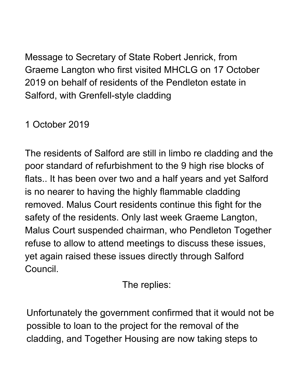Message to Secretary of State Robert Jenrick, from Graeme Langton who first visited MHCLG on 17 October 2019 on behalf of residents of the Pendleton estate in Salford, with Grenfell-style cladding

## 1 October 2019

The residents of Salford are still in limbo re cladding and the poor standard of refurbishment to the 9 high rise blocks of flats.. It has been over two and a half years and yet Salford is no nearer to having the highly flammable cladding removed. Malus Court residents continue this fight for the safety of the residents. Only last week Graeme Langton, Malus Court suspended chairman, who Pendleton Together refuse to allow to attend meetings to discuss these issues, yet again raised these issues directly through Salford Council.

The replies:

Unfortunately the government confirmed that it would not be possible to loan to the project for the removal of the cladding, and Together Housing are now taking steps to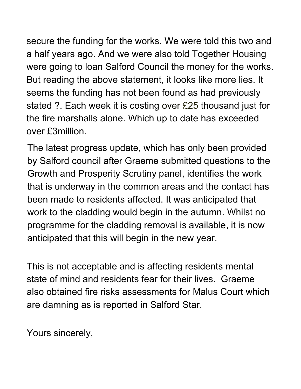secure the funding for the works. We were told this two and a half years ago. And we were also told Together Housing were going to loan Salford Council the money for the works. But reading the above statement, it looks like more lies. It seems the funding has not been found as had previously stated ?. Each week it is costing over £25 thousand just for the fire marshalls alone. Which up to date has exceeded over £3million.

The latest progress update, which has only been provided by Salford council after Graeme submitted questions to the Growth and Prosperity Scrutiny panel, identifies the work that is underway in the common areas and the contact has been made to residents affected. It was anticipated that work to the cladding would begin in the autumn. Whilst no programme for the cladding removal is available, it is now anticipated that this will begin in the new year.

This is not acceptable and is affecting residents mental state of mind and residents fear for their lives. Graeme also obtained fire risks assessments for Malus Court which are damning as is reported in Salford Star.

Yours sincerely,